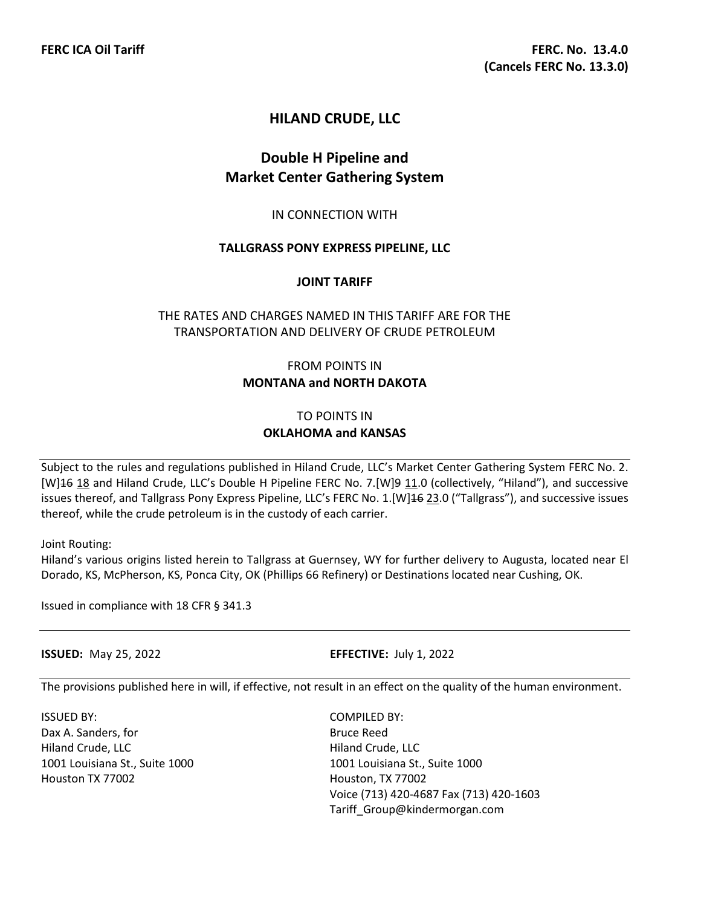# **HILAND CRUDE, LLC**

# **Double H Pipeline and Market Center Gathering System**

#### IN CONNECTION WITH

#### **TALLGRASS PONY EXPRESS PIPELINE, LLC**

#### **JOINT TARIFF**

## THE RATES AND CHARGES NAMED IN THIS TARIFF ARE FOR THE TRANSPORTATION AND DELIVERY OF CRUDE PETROLEUM

## FROM POINTS IN **MONTANA and NORTH DAKOTA**

## TO POINTS IN **OKLAHOMA and KANSAS**

Subject to the rules and regulations published in Hiland Crude, LLC's Market Center Gathering System FERC No. 2. [W]<sup>16</sup> 18 and Hiland Crude, LLC's Double H Pipeline FERC No. 7.[W]<sup>9</sup> 11.0 (collectively, "Hiland"), and successive issues thereof, and Tallgrass Pony Express Pipeline, LLC's FERC No. 1.[W]16 23.0 ("Tallgrass"), and successive issues thereof, while the crude petroleum is in the custody of each carrier.

Joint Routing:

Hiland's various origins listed herein to Tallgrass at Guernsey, WY for further delivery to Augusta, located near El Dorado, KS, McPherson, KS, Ponca City, OK (Phillips 66 Refinery) or Destinations located near Cushing, OK.

Issued in compliance with 18 CFR § 341.3

**ISSUED:** May 25, 2022 **EFFECTIVE:** July 1, 2022

The provisions published here in will, if effective, not result in an effect on the quality of the human environment.

ISSUED BY: COMPILED BY: Dax A. Sanders, for Bruce Reed Hiland Crude, LLC **Hiland Crude, LLC** 1001 Louisiana St., Suite 1000 1001 Louisiana St., Suite 1000 Houston TX 77002 Houston, TX 77002

Voice (713) 420-4687 Fax (713) 420-1603 Tariff\_Group@kindermorgan.com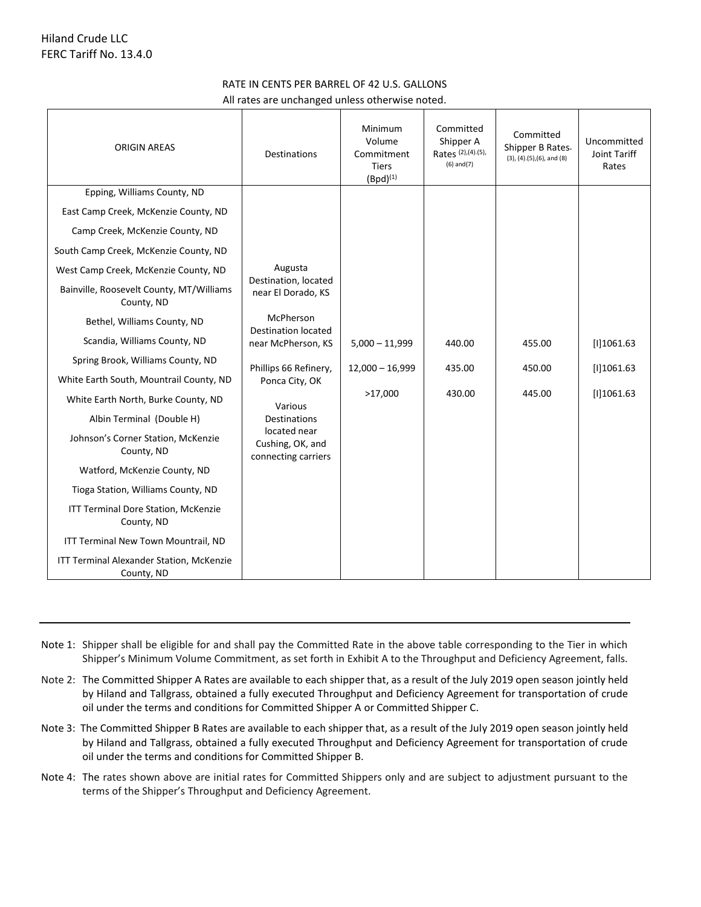### RATE IN CENTS PER BARREL OF 42 U.S. GALLONS

All rates are unchanged unless otherwise noted.

| <b>ORIGIN AREAS</b>                                                                                                                                                                                                                                                                                                                                                                              | <b>Destinations</b>                                                                                                                                                                                                                                            | Minimum<br>Volume<br>Commitment<br><b>Tiers</b><br>$(Bpd)^{(1)}$ | Committed<br>Shipper A<br>Rates (2), (4). (5),<br>$(6)$ and $(7)$ | Committed<br>Shipper B Rates<br>$(3)$ , $(4)$ . $(5)$ , $(6)$ , and $(8)$ | Uncommitted<br>Joint Tariff<br>Rates      |
|--------------------------------------------------------------------------------------------------------------------------------------------------------------------------------------------------------------------------------------------------------------------------------------------------------------------------------------------------------------------------------------------------|----------------------------------------------------------------------------------------------------------------------------------------------------------------------------------------------------------------------------------------------------------------|------------------------------------------------------------------|-------------------------------------------------------------------|---------------------------------------------------------------------------|-------------------------------------------|
| Epping, Williams County, ND<br>East Camp Creek, McKenzie County, ND<br>Camp Creek, McKenzie County, ND<br>South Camp Creek, McKenzie County, ND<br>West Camp Creek, McKenzie County, ND<br>Bainville, Roosevelt County, MT/Williams<br>County, ND<br>Bethel, Williams County, ND<br>Scandia, Williams County, ND<br>Spring Brook, Williams County, ND<br>White Earth South, Mountrail County, ND | Augusta<br>Destination, located<br>near El Dorado, KS<br>McPherson<br><b>Destination located</b><br>near McPherson, KS<br>Phillips 66 Refinery,<br>Ponca City, OK<br>Various<br><b>Destinations</b><br>located near<br>Cushing, OK, and<br>connecting carriers | $5,000 - 11,999$<br>$12,000 - 16,999$                            | 440.00<br>435.00<br>430.00                                        | 455.00<br>450.00<br>445.00                                                | [1]1061.63<br>[1]1061.63<br>$[1]$ 1061.63 |
| White Earth North, Burke County, ND<br>Albin Terminal (Double H)<br>Johnson's Corner Station, McKenzie<br>County, ND<br>Watford, McKenzie County, ND<br>Tioga Station, Williams County, ND<br>ITT Terminal Dore Station, McKenzie<br>County, ND<br>ITT Terminal New Town Mountrail, ND<br>ITT Terminal Alexander Station, McKenzie<br>County, ND                                                 |                                                                                                                                                                                                                                                                | >17,000                                                          |                                                                   |                                                                           |                                           |

- Note 1: Shipper shall be eligible for and shall pay the Committed Rate in the above table corresponding to the Tier in which Shipper's Minimum Volume Commitment, as set forth in Exhibit A to the Throughput and Deficiency Agreement, falls.
- Note 2: The Committed Shipper A Rates are available to each shipper that, as a result of the July 2019 open season jointly held by Hiland and Tallgrass, obtained a fully executed Throughput and Deficiency Agreement for transportation of crude oil under the terms and conditions for Committed Shipper A or Committed Shipper C.
- Note 3: The Committed Shipper B Rates are available to each shipper that, as a result of the July 2019 open season jointly held by Hiland and Tallgrass, obtained a fully executed Throughput and Deficiency Agreement for transportation of crude oil under the terms and conditions for Committed Shipper B.
- Note 4: The rates shown above are initial rates for Committed Shippers only and are subject to adjustment pursuant to the terms of the Shipper's Throughput and Deficiency Agreement.